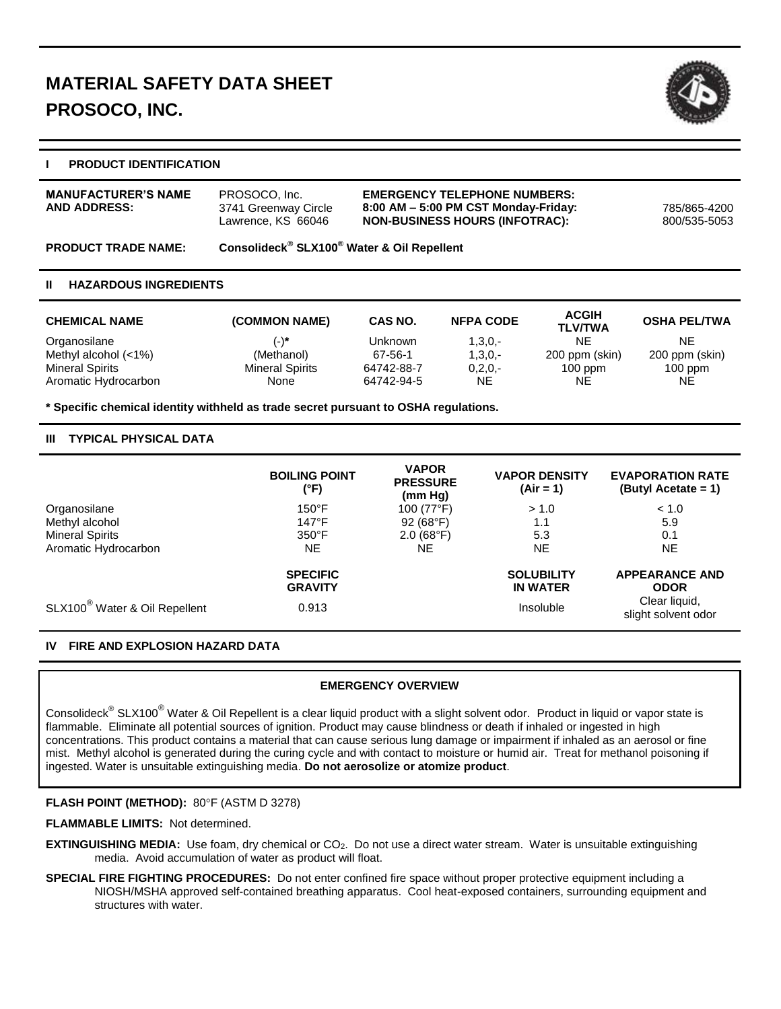

# **I PRODUCT IDENTIFICATION**

| <b>MANUFACTURER'S NAME</b><br><b>AND ADDRESS:</b> | PROSOCO, Inc.<br>3741 Greenway Circle<br>Lawrence, KS 66046        | <b>EMERGENCY TELEPHONE NUMBERS:</b><br>$8:00$ AM $-5:00$ PM CST Monday-Friday:<br><b>NON-BUSINESS HOURS (INFOTRAC):</b> | 785/865-4200<br>800/535-5053 |
|---------------------------------------------------|--------------------------------------------------------------------|-------------------------------------------------------------------------------------------------------------------------|------------------------------|
| <b>PRODUCT TRADE NAME:</b>                        | Consolideck <sup>®</sup> SLX100 <sup>®</sup> Water & Oil Repellent |                                                                                                                         |                              |

#### **II HAZARDOUS INGREDIENTS**

| <b>CHEMICAL NAME</b>   | (COMMON NAME)          | CAS NO.    | <b>NFPA CODE</b> | <b>ACGIH</b><br><b>TLV/TWA</b> | <b>OSHA PEL/TWA</b> |
|------------------------|------------------------|------------|------------------|--------------------------------|---------------------|
| Organosilane           | $(-)^*$                | Unknown    | $1,3,0,-$        | NE                             | NE                  |
| Methyl alcohol $(<1%)$ | (Methanol)             | 67-56-1    | $1,3,0,-$        | 200 ppm (skin)                 | 200 ppm (skin)      |
| <b>Mineral Spirits</b> | <b>Mineral Spirits</b> | 64742-88-7 | $0, 2, 0, -$     | $100$ ppm                      | $100$ ppm           |
| Aromatic Hydrocarbon   | None                   | 64742-94-5 | NE               | NE                             | NE.                 |

**\* Specific chemical identity withheld as trade secret pursuant to OSHA regulations.**

### **III TYPICAL PHYSICAL DATA**

|                                           | <b>BOILING POINT</b><br>(°F)      | <b>VAPOR</b><br><b>PRESSURE</b><br>(mm Hg) | <b>VAPOR DENSITY</b><br>$(Air = 1)$  | <b>EVAPORATION RATE</b><br>(Butyl Acetate = 1) |
|-------------------------------------------|-----------------------------------|--------------------------------------------|--------------------------------------|------------------------------------------------|
| Organosilane                              | $150^{\circ}$ F                   | 100 (77°F)                                 | > 1.0                                | < 1.0                                          |
| Methyl alcohol                            | $147^{\circ}$ F                   | 92(68°F)                                   | 1.1                                  | 5.9                                            |
| <b>Mineral Spirits</b>                    | $350^\circ F$                     | $2.0(68^{\circ}F)$                         | 5.3                                  | 0.1                                            |
| Aromatic Hydrocarbon                      | NE.                               | NE                                         | <b>NE</b>                            | NE.                                            |
|                                           | <b>SPECIFIC</b><br><b>GRAVITY</b> |                                            | <b>SOLUBILITY</b><br><b>IN WATER</b> | <b>APPEARANCE AND</b><br><b>ODOR</b>           |
| SLX100 <sup>®</sup> Water & Oil Repellent | 0.913                             |                                            | Insoluble                            | Clear liquid,<br>slight solvent odor           |

### **IV FIRE AND EXPLOSION HAZARD DATA**

### **EMERGENCY OVERVIEW**

Consolideck $^\circ$  SLX100 $^\circ$  Water & Oil Repellent is a clear liquid product with a slight solvent odor. Product in liquid or vapor state is flammable. Eliminate all potential sources of ignition. Product may cause blindness or death if inhaled or ingested in high concentrations. This product contains a material that can cause serious lung damage or impairment if inhaled as an aerosol or fine mist. Methyl alcohol is generated during the curing cycle and with contact to moisture or humid air. Treat for methanol poisoning if ingested. Water is unsuitable extinguishing media. **Do not aerosolize or atomize product**.

### **FLASH POINT (METHOD):** 80°F (ASTM D 3278)

**FLAMMABLE LIMITS:** Not determined.

- **EXTINGUISHING MEDIA:** Use foam, dry chemical or CO<sub>2</sub>. Do not use a direct water stream. Water is unsuitable extinguishing media. Avoid accumulation of water as product will float.
- **SPECIAL FIRE FIGHTING PROCEDURES:** Do not enter confined fire space without proper protective equipment including a NIOSH/MSHA approved self-contained breathing apparatus. Cool heat-exposed containers, surrounding equipment and structures with water.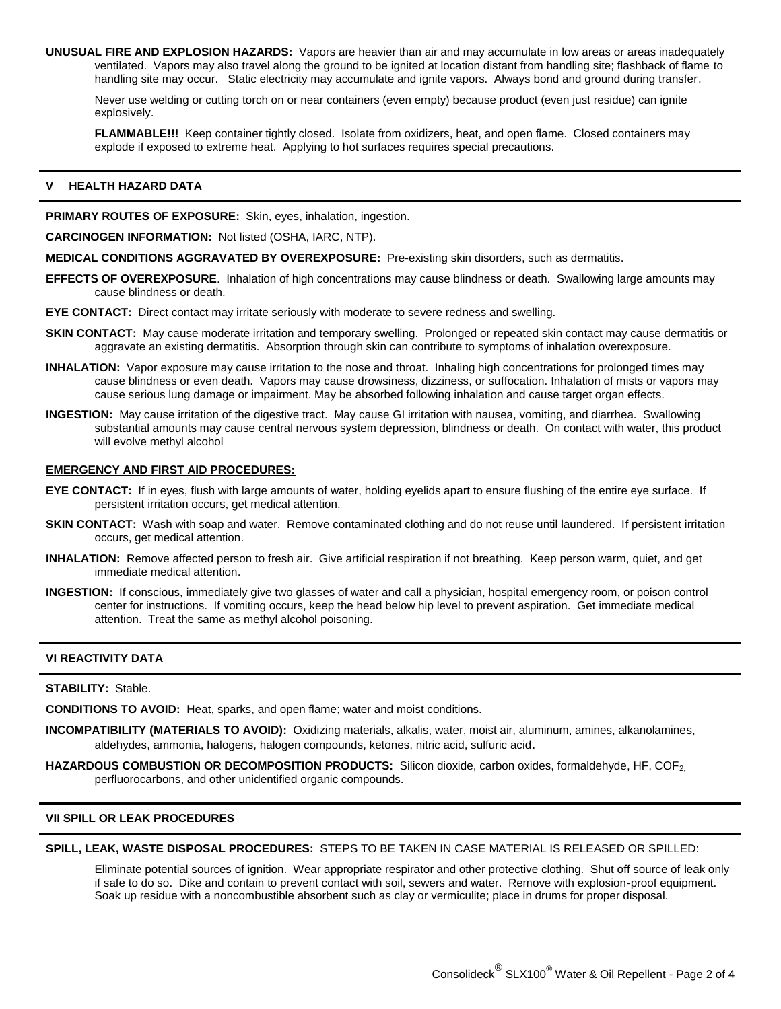**UNUSUAL FIRE AND EXPLOSION HAZARDS:** Vapors are heavier than air and may accumulate in low areas or areas inadequately ventilated. Vapors may also travel along the ground to be ignited at location distant from handling site; flashback of flame to handling site may occur. Static electricity may accumulate and ignite vapors. Always bond and ground during transfer.

Never use welding or cutting torch on or near containers (even empty) because product (even just residue) can ignite explosively.

**FLAMMABLE!!!** Keep container tightly closed. Isolate from oxidizers, heat, and open flame. Closed containers may explode if exposed to extreme heat. Applying to hot surfaces requires special precautions.

### **V HEALTH HAZARD DATA**

**PRIMARY ROUTES OF EXPOSURE:** Skin, eyes, inhalation, ingestion.

**CARCINOGEN INFORMATION:** Not listed (OSHA, IARC, NTP).

**MEDICAL CONDITIONS AGGRAVATED BY OVEREXPOSURE:** Pre-existing skin disorders, such as dermatitis.

**EFFECTS OF OVEREXPOSURE**. Inhalation of high concentrations may cause blindness or death. Swallowing large amounts may cause blindness or death.

**EYE CONTACT:** Direct contact may irritate seriously with moderate to severe redness and swelling.

- **SKIN CONTACT:** May cause moderate irritation and temporary swelling. Prolonged or repeated skin contact may cause dermatitis or aggravate an existing dermatitis. Absorption through skin can contribute to symptoms of inhalation overexposure.
- **INHALATION:** Vapor exposure may cause irritation to the nose and throat. Inhaling high concentrations for prolonged times may cause blindness or even death. Vapors may cause drowsiness, dizziness, or suffocation. Inhalation of mists or vapors may cause serious lung damage or impairment. May be absorbed following inhalation and cause target organ effects.
- **INGESTION:** May cause irritation of the digestive tract. May cause GI irritation with nausea, vomiting, and diarrhea. Swallowing substantial amounts may cause central nervous system depression, blindness or death. On contact with water, this product will evolve methyl alcohol

# **EMERGENCY AND FIRST AID PROCEDURES:**

- **EYE CONTACT:** If in eyes, flush with large amounts of water, holding eyelids apart to ensure flushing of the entire eye surface. If persistent irritation occurs, get medical attention.
- **SKIN CONTACT:** Wash with soap and water. Remove contaminated clothing and do not reuse until laundered. If persistent irritation occurs, get medical attention.
- **INHALATION:** Remove affected person to fresh air. Give artificial respiration if not breathing. Keep person warm, quiet, and get immediate medical attention.
- **INGESTION:** If conscious, immediately give two glasses of water and call a physician, hospital emergency room, or poison control center for instructions. If vomiting occurs, keep the head below hip level to prevent aspiration. Get immediate medical attention. Treat the same as methyl alcohol poisoning.

# **VI REACTIVITY DATA**

### **STABILITY:** Stable.

**CONDITIONS TO AVOID:** Heat, sparks, and open flame; water and moist conditions.

- **INCOMPATIBILITY (MATERIALS TO AVOID):** Oxidizing materials, alkalis, water, moist air, aluminum, amines, alkanolamines, aldehydes, ammonia, halogens, halogen compounds, ketones, nitric acid, sulfuric acid.
- HAZARDOUS COMBUSTION OR DECOMPOSITION PRODUCTS: Silicon dioxide, carbon oxides, formaldehyde, HF, COF<sub>2,</sub> perfluorocarbons, and other unidentified organic compounds.

### **VII SPILL OR LEAK PROCEDURES**

# **SPILL, LEAK, WASTE DISPOSAL PROCEDURES:** STEPS TO BE TAKEN IN CASE MATERIAL IS RELEASED OR SPILLED:

Eliminate potential sources of ignition. Wear appropriate respirator and other protective clothing. Shut off source of leak only if safe to do so. Dike and contain to prevent contact with soil, sewers and water. Remove with explosion-proof equipment. Soak up residue with a noncombustible absorbent such as clay or vermiculite; place in drums for proper disposal.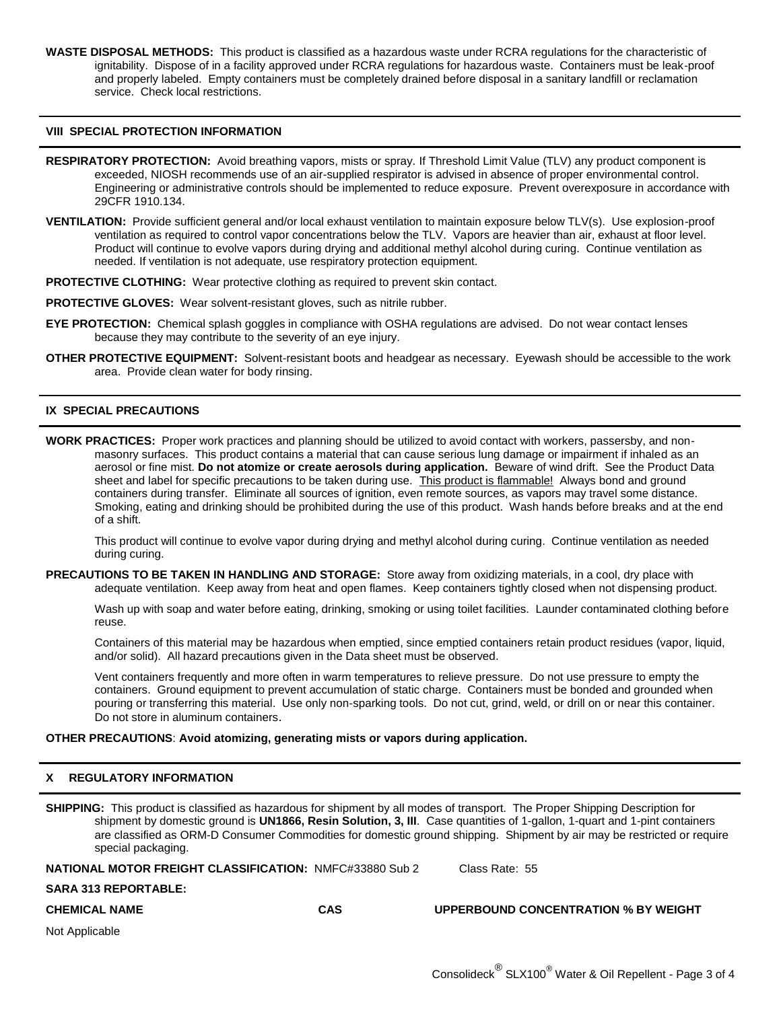**WASTE DISPOSAL METHODS:** This product is classified as a hazardous waste under RCRA regulations for the characteristic of ignitability. Dispose of in a facility approved under RCRA regulations for hazardous waste. Containers must be leak-proof and properly labeled. Empty containers must be completely drained before disposal in a sanitary landfill or reclamation service. Check local restrictions.

#### **VIII SPECIAL PROTECTION INFORMATION**

- **RESPIRATORY PROTECTION:** Avoid breathing vapors, mists or spray. If Threshold Limit Value (TLV) any product component is exceeded, NIOSH recommends use of an air-supplied respirator is advised in absence of proper environmental control. Engineering or administrative controls should be implemented to reduce exposure. Prevent overexposure in accordance with 29CFR 1910.134.
- **VENTILATION:** Provide sufficient general and/or local exhaust ventilation to maintain exposure below TLV(s). Use explosion-proof ventilation as required to control vapor concentrations below the TLV. Vapors are heavier than air, exhaust at floor level. Product will continue to evolve vapors during drying and additional methyl alcohol during curing. Continue ventilation as needed. If ventilation is not adequate, use respiratory protection equipment.

**PROTECTIVE CLOTHING:** Wear protective clothing as required to prevent skin contact.

**PROTECTIVE GLOVES:** Wear solvent-resistant gloves, such as nitrile rubber.

- **EYE PROTECTION:** Chemical splash goggles in compliance with OSHA regulations are advised. Do not wear contact lenses because they may contribute to the severity of an eye injury.
- **OTHER PROTECTIVE EQUIPMENT:** Solvent-resistant boots and headgear as necessary. Eyewash should be accessible to the work area. Provide clean water for body rinsing.

#### **IX SPECIAL PRECAUTIONS**

**WORK PRACTICES:** Proper work practices and planning should be utilized to avoid contact with workers, passersby, and nonmasonry surfaces. This product contains a material that can cause serious lung damage or impairment if inhaled as an aerosol or fine mist. **Do not atomize or create aerosols during application.** Beware of wind drift. See the Product Data sheet and label for specific precautions to be taken during use. This product is flammable! Always bond and ground containers during transfer. Eliminate all sources of ignition, even remote sources, as vapors may travel some distance. Smoking, eating and drinking should be prohibited during the use of this product. Wash hands before breaks and at the end of a shift.

This product will continue to evolve vapor during drying and methyl alcohol during curing. Continue ventilation as needed during curing.

**PRECAUTIONS TO BE TAKEN IN HANDLING AND STORAGE:** Store away from oxidizing materials, in a cool, dry place with adequate ventilation. Keep away from heat and open flames. Keep containers tightly closed when not dispensing product.

Wash up with soap and water before eating, drinking, smoking or using toilet facilities. Launder contaminated clothing before reuse.

Containers of this material may be hazardous when emptied, since emptied containers retain product residues (vapor, liquid, and/or solid). All hazard precautions given in the Data sheet must be observed.

Vent containers frequently and more often in warm temperatures to relieve pressure. Do not use pressure to empty the containers. Ground equipment to prevent accumulation of static charge. Containers must be bonded and grounded when pouring or transferring this material. Use only non-sparking tools. Do not cut, grind, weld, or drill on or near this container. Do not store in aluminum containers.

#### **OTHER PRECAUTIONS**: **Avoid atomizing, generating mists or vapors during application.**

### **X REGULATORY INFORMATION**

**SHIPPING:** This product is classified as hazardous for shipment by all modes of transport. The Proper Shipping Description for shipment by domestic ground is **UN1866, Resin Solution, 3, III**. Case quantities of 1-gallon, 1-quart and 1-pint containers are classified as ORM-D Consumer Commodities for domestic ground shipping. Shipment by air may be restricted or require special packaging.

**NATIONAL MOTOR FREIGHT CLASSIFICATION: NMFC#33880 Sub 2 Class Rate: 55** 

### **SARA 313 REPORTABLE:**

**CHEMICAL NAME CAS UPPERBOUND CONCENTRATION % BY WEIGHT**

Not Applicable